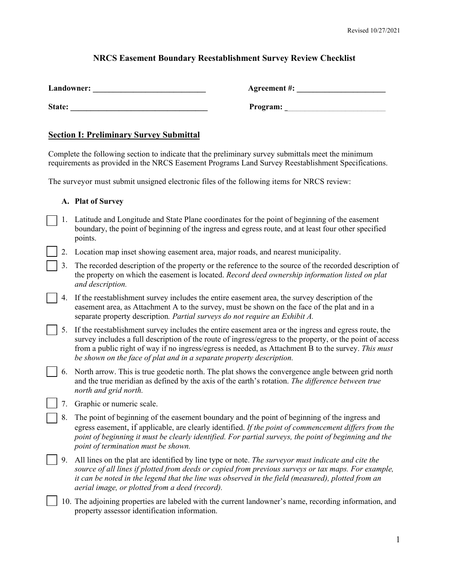## **NRCS Easement Boundary Reestablishment Survey Review Checklist**

| Landowner: | Agreement #: |
|------------|--------------|
| State:     | Program:     |

## **Section I: Preliminary Survey Submittal**

Complete the following section to indicate that the preliminary survey submittals meet the minimum requirements as provided in the NRCS Easement Programs Land Survey Reestablishment Specifications.

The surveyor must submit unsigned electronic files of the following items for NRCS review:

### **A. Plat of Survey**

- 1. Latitude and Longitude and State Plane coordinates for the point of beginning of the easement boundary, the point of beginning of the ingress and egress route, and at least four other specified points.
- 2. Location map inset showing easement area, major roads, and nearest municipality.
- 3. The recorded description of the property or the reference to the source of the recorded description of the property on which the easement is located. *Record deed ownership information listed on plat and description.*
- 4. If the reestablishment survey includes the entire easement area, the survey description of the easement area, as Attachment A to the survey, must be shown on the face of the plat and in a separate property description*. Partial surveys do not require an Exhibit A.*
- 5. If the reestablishment survey includes the entire easement area or the ingress and egress route, the survey includes a full description of the route of ingress/egress to the property, or the point of access from a public right of way if no ingress/egress is needed, as Attachment B to the survey. *This must be shown on the face of plat and in a separate property description.*
- 6. North arrow. This is true geodetic north. The plat shows the convergence angle between grid north and the true meridian as defined by the axis of the earth's rotation. *The difference between true north and grid north.*
	- 7. Graphic or numeric scale.
- 8. The point of beginning of the easement boundary and the point of beginning of the ingress and egress easement, if applicable, are clearly identified. *If the point of commencement differs from the point of beginning it must be clearly identified. For partial surveys, the point of beginning and the point of termination must be shown.*
- 9. All lines on the plat are identified by line type or note. *The surveyor must indicate and cite the source of all lines if plotted from deeds or copied from previous surveys or tax maps. For example, it can be noted in the legend that the line was observed in the field (measured), plotted from an aerial image, or plotted from a deed (record).*

10. The adjoining properties are labeled with the current landowner's name, recording information, and property assessor identification information.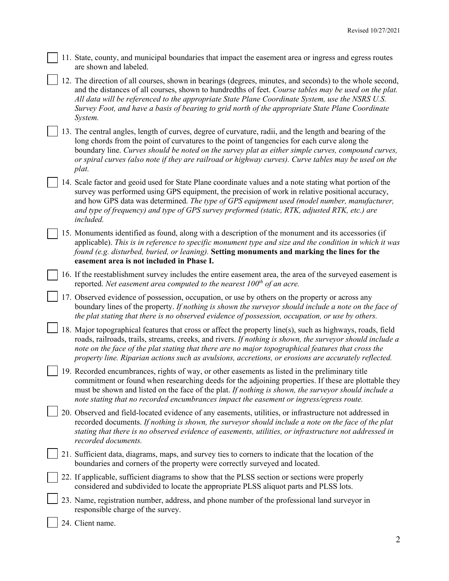11. State, county, and municipal boundaries that impact the easement area or ingress and egress routes are shown and labeled.

12. The direction of all courses, shown in bearings (degrees, minutes, and seconds) to the whole second, and the distances of all courses, shown to hundredths of feet. *Course tables may be used on the plat. All data will be referenced to the appropriate State Plane Coordinate System, use the NSRS U.S. Survey Foot, and have a basis of bearing to grid north of the appropriate State Plane Coordinate System.*

13. The central angles, length of curves, degree of curvature, radii, and the length and bearing of the long chords from the point of curvatures to the point of tangencies for each curve along the boundary line. *Curves should be noted on the survey plat as either simple curves, compound curves, or spiral curves (also note if they are railroad or highway curves). Curve tables may be used on the plat.*

- 14. Scale factor and geoid used for State Plane coordinate values and a note stating what portion of the survey was performed using GPS equipment, the precision of work in relative positional accuracy, and how GPS data was determined. *The type of GPS equipment used (model number, manufacturer, and type of frequency) and type of GPS survey preformed (static, RTK, adjusted RTK, etc.) are included.*
- 15. Monuments identified as found, along with a description of the monument and its accessories (if applicable). *This is in reference to specific monument type and size and the condition in which it was found (e.g. disturbed, buried, or leaning).* **Setting monuments and marking the lines for the easement area is not included in Phase I.**

16. If the reestablishment survey includes the entire easement area, the area of the surveyed easement is reported. *Net easement area computed to the nearest 100th of an acre.*

17. Observed evidence of possession, occupation, or use by others on the property or across any boundary lines of the property. *If nothing is shown the surveyor should include a note on the face of the plat stating that there is no observed evidence of possession, occupation, or use by others.*

18. Major topographical features that cross or affect the property line(s), such as highways, roads, field roads, railroads, trails, streams, creeks, and rivers. *If nothing is shown, the surveyor should include a note on the face of the plat stating that there are no major topographical features that cross the property line. Riparian actions such as avulsions, accretions, or erosions are accurately reflected.*

- 19. Recorded encumbrances, rights of way, or other easements as listed in the preliminary title commitment or found when researching deeds for the adjoining properties. If these are plottable they must be shown and listed on the face of the plat. *If nothing is shown, the surveyor should include a note stating that no recorded encumbrances impact the easement or ingress/egress route.*
- 20. Observed and field-located evidence of any easements, utilities, or infrastructure not addressed in recorded documents. *If nothing is shown, the surveyor should include a note on the face of the plat stating that there is no observed evidence of easements, utilities, or infrastructure not addressed in recorded documents.*
- 21. Sufficient data, diagrams, maps, and survey ties to corners to indicate that the location of the boundaries and corners of the property were correctly surveyed and located.
- 22. If applicable, sufficient diagrams to show that the PLSS section or sections were properly considered and subdivided to locate the appropriate PLSS aliquot parts and PLSS lots.
- 23. Name, registration number, address, and phone number of the professional land surveyor in responsible charge of the survey.
- 24. Client name.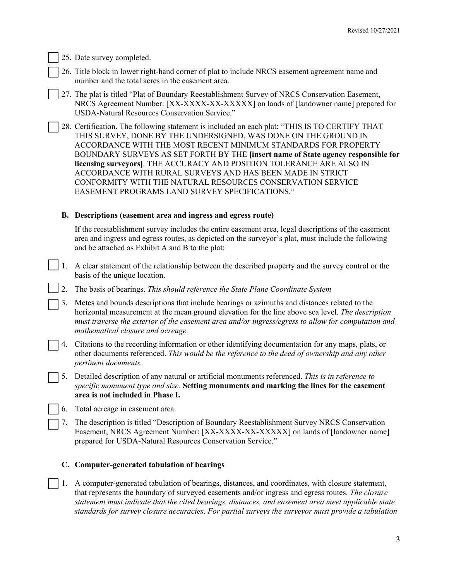25. Date survey completed.

- 26. Title block in lower right-hand corner of plat to include NRCS easement agreement name and number and the total acres in the easement area.
- 27. The plat is titled "Plat of Boundary Reestablishment Survey of NRCS Conservation Easement, NRCS Agreement Number: [XX-XXXX-XX-XXXXX] on lands of [landowner name] prepared for USDA-Natural Resources Conservation Service."
- 28. Certification. The following statement is included on each plat: "THIS IS TO CERTIFY THAT THIS SURVEY, DONE BY THE UNDERSIGNED, WAS DONE ON THE GROUND IN ACCORDANCE WITH THE MOST RECENT MINIMUM STANDARDS FOR PROPERTY BOUNDARY SURVEYS AS SET FORTH BY THE **[insert name of State agency responsible for licensing surveyors]**. THE ACCURACY AND POSITION TOLERANCE ARE ALSO IN ACCORDANCE WITH RURAL SURVEYS AND HAS BEEN MADE IN STRICT CONFORMITY WITH THE NATURAL RESOURCES CONSERVATION SERVICE EASEMENT PROGRAMS LAND SURVEY SPECIFICATIONS."

## **B. Descriptions (easement area and ingress and egress route)**

If the reestablishment survey includes the entire easement area, legal descriptions of the easement area and ingress and egress routes, as depicted on the surveyor's plat, must include the following and be attached as Exhibit A and B to the plat:

- 1. A clear statement of the relationship between the described property and the survey control or the basis of the unique location.
	- 2. The basis of bearings. *This should reference the State Plane Coordinate System*
- 3. Metes and bounds descriptions that include bearings or azimuths and distances related to the horizontal measurement at the mean ground elevation for the line above sea level. *The description must traverse the exterior of the easement area and/or ingress/egress to allow for computation and mathematical closure and acreage.*
- 4. Citations to the recording information or other identifying documentation for any maps, plats, or other documents referenced. *This would be the reference to the deed of ownership and any other pertinent documents.*
- 5. Detailed description of any natural or artificial monuments referenced. *This is in reference to specific monument type and size.* **Setting monuments and marking the lines for the easement area is not included in Phase I.** 
	- 6. Total acreage in easement area.
	- 7. The description is titled "Description of Boundary Reestablishment Survey NRCS Conservation Easement, NRCS Agreement Number: [XX-XXXX-XX-XXXXX] on lands of [landowner name] prepared for USDA-Natural Resources Conservation Service."

## **C. Computer-generated tabulation of bearings**

1. A computer-generated tabulation of bearings, distances, and coordinates, with closure statement, that represents the boundary of surveyed easements and/or ingress and egress routes. *The closure statement must indicate that the cited bearings, distances, and easement area meet applicable state standards for survey closure accuracies. For partial surveys the surveyor must provide a tabulation*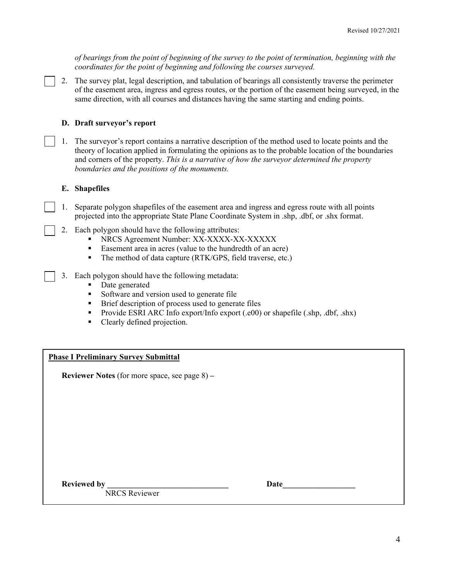*of bearings from the point of beginning of the survey to the point of termination, beginning with the coordinates for the point of beginning and following the courses surveyed.*

2. The survey plat, legal description, and tabulation of bearings all consistently traverse the perimeter of the easement area, ingress and egress routes, or the portion of the easement being surveyed, in the same direction, with all courses and distances having the same starting and ending points.

### **D. Draft surveyor's report**

1. The surveyor's report contains a narrative description of the method used to locate points and the theory of location applied in formulating the opinions as to the probable location of the boundaries and corners of the property. *This is a narrative of how the surveyor determined the property boundaries and the positions of the monuments.*

#### **E. Shapefiles**

- 1. Separate polygon shapefiles of the easement area and ingress and egress route with all points projected into the appropriate State Plane Coordinate System in .shp, .dbf, or .shx format.
- 2. Each polygon should have the following attributes:
	- NRCS Agreement Number: XX-XXXX-XX-XXXXX
	- Easement area in acres (value to the hundredth of an acre)
	- The method of data capture (RTK/GPS, field traverse, etc.)
- 3. Each polygon should have the following metadata:
	- Date generated
	- Software and version used to generate file
	- **Brief description of process used to generate files**
	- Provide ESRI ARC Info export/Info export (.e00) or shapefile (.shp, .dbf, .shx)
	- Clearly defined projection.

#### **Phase I Preliminary Survey Submittal**

**Reviewer Notes** (for more space, see page 8) **–** 

Reviewed by

| Date |  |  |  |  |  |  |
|------|--|--|--|--|--|--|
|      |  |  |  |  |  |  |

NRCS Reviewer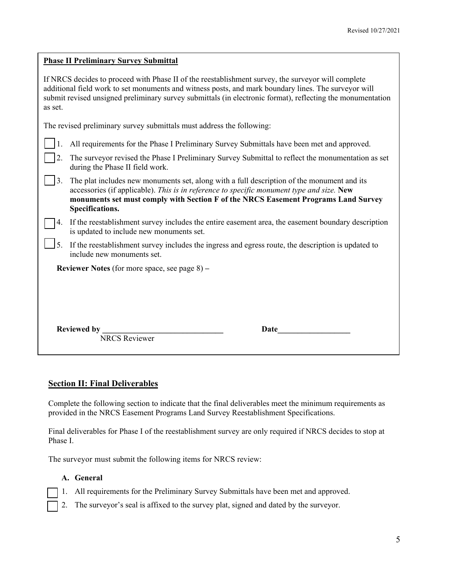| <b>Phase II Preliminary Survey Submittal</b>                                                                                                                                                                                                                                                                                        |  |  |  |  |  |  |  |
|-------------------------------------------------------------------------------------------------------------------------------------------------------------------------------------------------------------------------------------------------------------------------------------------------------------------------------------|--|--|--|--|--|--|--|
| If NRCS decides to proceed with Phase II of the reestablishment survey, the surveyor will complete<br>additional field work to set monuments and witness posts, and mark boundary lines. The surveyor will<br>submit revised unsigned preliminary survey submittals (in electronic format), reflecting the monumentation<br>as set. |  |  |  |  |  |  |  |
| The revised preliminary survey submittals must address the following:                                                                                                                                                                                                                                                               |  |  |  |  |  |  |  |
| All requirements for the Phase I Preliminary Survey Submittals have been met and approved.                                                                                                                                                                                                                                          |  |  |  |  |  |  |  |
| The surveyor revised the Phase I Preliminary Survey Submittal to reflect the monumentation as set<br>during the Phase II field work.                                                                                                                                                                                                |  |  |  |  |  |  |  |
| The plat includes new monuments set, along with a full description of the monument and its<br>3.<br>accessories (if applicable). This is in reference to specific monument type and size. New<br>monuments set must comply with Section F of the NRCS Easement Programs Land Survey<br>Specifications.                              |  |  |  |  |  |  |  |
| If the reestablishment survey includes the entire easement area, the easement boundary description<br>4.<br>is updated to include new monuments set.                                                                                                                                                                                |  |  |  |  |  |  |  |
| If the reestablishment survey includes the ingress and egress route, the description is updated to<br>include new monuments set.                                                                                                                                                                                                    |  |  |  |  |  |  |  |
| <b>Reviewer Notes</b> (for more space, see page 8) –                                                                                                                                                                                                                                                                                |  |  |  |  |  |  |  |
|                                                                                                                                                                                                                                                                                                                                     |  |  |  |  |  |  |  |
| <b>Reviewed by</b><br>NRCS Reviewer<br>Date                                                                                                                                                                                                                                                                                         |  |  |  |  |  |  |  |
|                                                                                                                                                                                                                                                                                                                                     |  |  |  |  |  |  |  |

## **Section II: Final Deliverables**

Complete the following section to indicate that the final deliverables meet the minimum requirements as provided in the NRCS Easement Programs Land Survey Reestablishment Specifications.

Final deliverables for Phase I of the reestablishment survey are only required if NRCS decides to stop at Phase I.

The surveyor must submit the following items for NRCS review:

## **A. General**

- 1. All requirements for the Preliminary Survey Submittals have been met and approved.
- 2. The surveyor's seal is affixed to the survey plat, signed and dated by the surveyor.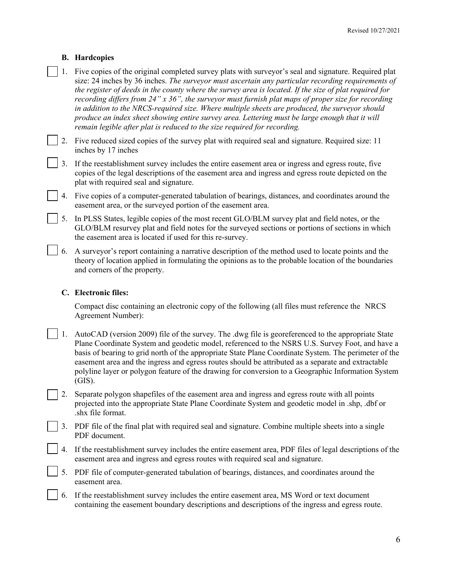## **B. Hardcopies**

- 1. Five copies of the original completed survey plats with surveyor's seal and signature. Required plat size: 24 inches by 36 inches. *The surveyor must ascertain any particular recording requirements of the register of deeds in the county where the survey area is located. If the size of plat required for recording differs from 24" x 36", the surveyor must furnish plat maps of proper size for recording in addition to the NRCS-required size. Where multiple sheets are produced, the surveyor should produce an index sheet showing entire survey area. Lettering must be large enough that it will remain legible after plat is reduced to the size required for recording.*
- 2. Five reduced sized copies of the survey plat with required seal and signature. Required size: 11 inches by 17 inches
- 3. If the reestablishment survey includes the entire easement area or ingress and egress route, five copies of the legal descriptions of the easement area and ingress and egress route depicted on the plat with required seal and signature.
- 4. Five copies of a computer-generated tabulation of bearings, distances, and coordinates around the easement area, or the surveyed portion of the easement area.
- 5. In PLSS States, legible copies of the most recent GLO/BLM survey plat and field notes, or the GLO/BLM resurvey plat and field notes for the surveyed sections or portions of sections in which the easement area is located if used for this re-survey.
- 6. A surveyor's report containing a narrative description of the method used to locate points and the theory of location applied in formulating the opinions as to the probable location of the boundaries and corners of the property.

## **C. Electronic files:**

Compact disc containing an electronic copy of the following (all files must reference the NRCS Agreement Number):

- 1. AutoCAD (version 2009) file of the survey. The .dwg file is georeferenced to the appropriate State Plane Coordinate System and geodetic model, referenced to the NSRS U.S. Survey Foot, and have a basis of bearing to grid north of the appropriate State Plane Coordinate System. The perimeter of the easement area and the ingress and egress routes should be attributed as a separate and extractable polyline layer or polygon feature of the drawing for conversion to a Geographic Information System (GIS).
- 2. Separate polygon shapefiles of the easement area and ingress and egress route with all points projected into the appropriate State Plane Coordinate System and geodetic model in .shp, .dbf or .shx file format.
- 3. PDF file of the final plat with required seal and signature. Combine multiple sheets into a single PDF document.
- 4. If the reestablishment survey includes the entire easement area, PDF files of legal descriptions of the easement area and ingress and egress routes with required seal and signature.
- 5. PDF file of computer-generated tabulation of bearings, distances, and coordinates around the easement area.
- 6. If the reestablishment survey includes the entire easement area, MS Word or text document containing the easement boundary descriptions and descriptions of the ingress and egress route.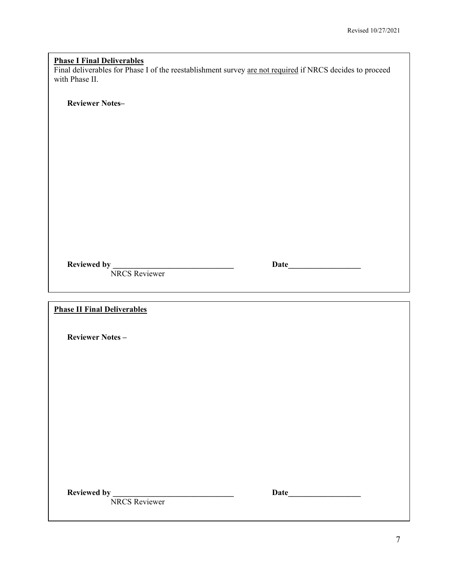# **Phase I Final Deliverables**

Final deliverables for Phase I of the reestablishment survey are not required if NRCS decides to proceed with Phase II.

**Reviewer Notes–** 

NRCS Reviewer

**Reviewed by \_\_\_\_\_\_\_\_\_\_\_\_\_\_\_\_\_\_\_\_\_\_\_\_\_\_\_\_\_\_ Date\_\_\_\_\_\_\_\_\_\_\_\_\_\_\_\_\_\_** 

**Phase II Final Deliverables** 

**Reviewer Notes –** 

**Reviewed by \_\_\_\_\_\_\_\_\_\_\_\_\_\_\_\_\_\_\_\_\_\_\_\_\_\_\_\_\_\_ Date\_\_\_\_\_\_\_\_\_\_\_\_\_\_\_\_\_\_** 

NRCS Reviewer